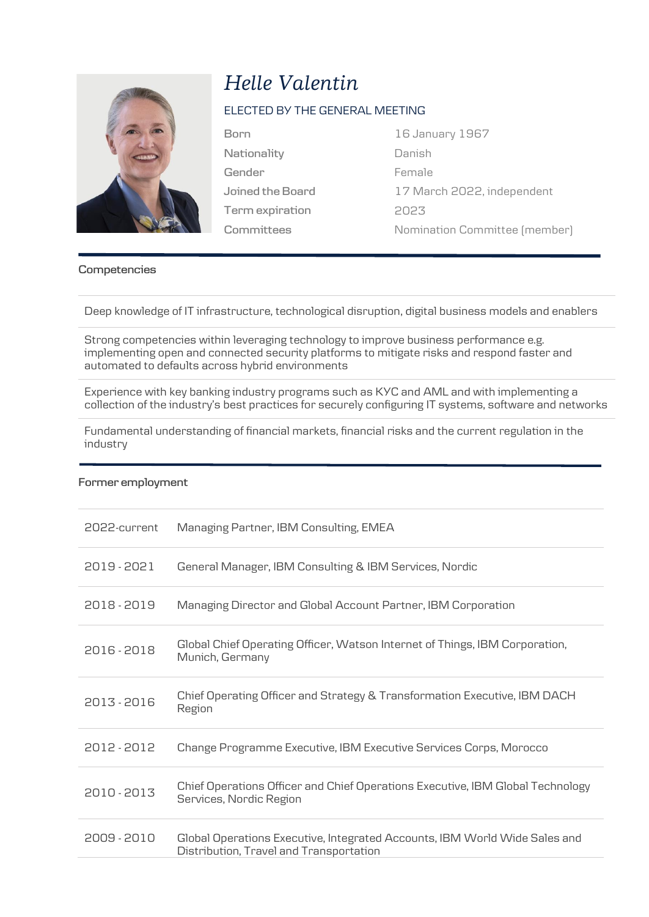

# *Helle Valentin*

## ELECTED BY THE GENERAL MEETING

**Nationality Gender Joined the Board Term expiration Committees**

**Born** 16 January 1967 Danish Female 17 March 2022, independent 2023 Nomination Committee (member)

## **Competencies**

Deep knowledge of IT infrastructure, technological disruption, digital business models and enablers

Strong competencies within leveraging technology to improve business performance e.g. implementing open and connected security platforms to mitigate risks and respond faster and automated to defaults across hybrid environments

Experience with key banking industry programs such as KYC and AML and with implementing a collection of the industry's best practices for securely configuring IT systems, software and networks

Fundamental understanding of financial markets, financial risks and the current regulation in the industry

#### **Former employment**

| 2022-current | Managing Partner, IBM Consulting, EMEA                                                                                |
|--------------|-----------------------------------------------------------------------------------------------------------------------|
| 2019 - 2021  | General Manager, IBM Consulting & IBM Services, Nordic                                                                |
| 2018 - 2019  | Managing Director and Global Account Partner, IBM Corporation                                                         |
| 2016 - 2018  | Global Chief Operating Officer, Watson Internet of Things, IBM Corporation,<br>Munich, Germany                        |
| 2013 - 2016  | Chief Operating Officer and Strategy & Transformation Executive, IBM DACH<br>Region                                   |
| 2012 - 2012  | Change Programme Executive, IBM Executive Services Corps, Morocco                                                     |
| 2010 - 2013  | Chief Operations Officer and Chief Operations Executive, IBM Global Technology<br>Services, Nordic Region             |
| 2009 - 2010  | Global Operations Executive, Integrated Accounts, IBM World Wide Sales and<br>Distribution, Travel and Transportation |